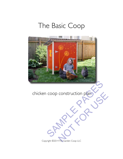# The Basic Coop



# chicken coop construction plan COnstruction plans

Copyright ©2014 The Garden Coop LLC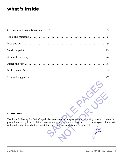# **what's inside**

### **thank you!**

Thank you for buying The Basic Coop chicken coop construction plan and for supporting my efforts. I know the plan will save you quite a bit of time, hassle — and money — while helping you keep your backyard chickens safe and healthy. More importantly, I hope it leads to a coop that you love and are proud of! icken coop construction plan and for supporting my efforts. It<br>sle — and money — while helping you keep your backyard chic<br>leads to a coop that you love and are proud of! Construction plan and for supporting my efforts. I know<br>oney—while helping you keep your backyard chicke<br>op that you love and are proud of!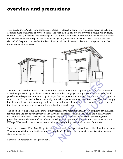# <span id="page-2-0"></span>**overview and precautions**

**THE BASIC COOP** makes for a comfortable, attractive, affordable home for 3-4 standard hens. The walls and doors are made of plywood or plywood siding, and with the help of a few two-by-twos, a couple two-by-fours, and some screws, the whole coop comes together easily and solidly. Plywood is already a cost-effective material for a chicken coop, and this plan shows you how to get all you need out of just two sheets. The hen house is elevated off the ground on two-by-four legs. These boards actually serve triple duty — as legs, as part of the frame, and as trim for looks.



The front door gives broad, easy access for care and cleaning. Inside, the coop is outfitted with two roosts and a nest box (perfect for up to 4 hens). There is space for either hanging or setting a feeder and a waterer should you choose to keep those inside the coop. A hinged, latched pop door is your chickens' entry to their day yard or attached run. You can work this door manually or install a separate automatic door on a timer. Your birds simply hop the short distance to/from the ground, or you can fashion a ladder or step. There's a similar small door on the other side that opens to the back of the nest box for egg collection. For care and cleaning. Inside, the coop is outfitted with two roost<br>re is space for either hanging or setting a feeder and a waterer s<br>. A hinged, latched pop door is your chickens' entry to their da<br>mually or install a se or either hanging or setting a feeder and a waterer shot atched pop door is your chickens' entry to their day stall a separate automatic door on a timer. Your birds in fashion a ladder or step. There's a similar small door

The "open air" ceiling above the henhouse is fully secured with hardware cloth. It provides plenty of ventilation for your hens and can be partially covered in the winter as needed. For looks, you could add a small window or vent in the front wall as well, but that's completely optional. A few inches above the open ceiling is the polycarbonate (translucent) roof which lets in some light while protecting the coop from rain, snow, heat, and UV rays. What's really cool is that one standard corrugated roofing panel is all you need for the job.

Those are the basics of The Basic Coop. It's a simple, economical design that sacrifices neither function nor looks. What's more, with four whole sides as your canvas, there's plenty of room for you to embellish with your own style, color, and designs!

Now some important notes and precautions. . .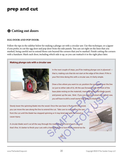# **prep and cut**

## $\bullet$  Cutting out doors

### **EGG DOOR AND POP DOOR:**

Follow the tips in the sidebar below for making a plunge cut with a circular saw. Use this technique, or a jigsaw if you prefer, to cut the egg door and pop door from the side panels. You can cut right on the lines that you marked, being careful not to extend those cuts beyond the corners that you've marked. Finish cutting the corners with a handsaw. Mark each door, including which side is up, so you can reattach it in the right place later.

### **Making plunge cuts with a circular saw**



In the next couple of steps, you'll be making plunge cuts in plywood that is, making cuts that do not start at the edge of the sheet. If this is your first time doing this with a circular saw, it's fairly simple.

Draw a line where you want to cut, position the saw blade over the line (or just to either side of it), tilt the saw forward (with the front of the base plate resting on the material), manually retract the blade guard, and power up the saw. *Note: If you use a jigsaw instead of a circular saw, you will have to drill a small starter hole to fit the blade into.* Draw a line where you want to cut, position the saw blade over the control of the state of it), tilt the saw forward (with the front of base plate resting on the material), manually retract the blade g and power up the saw Material Contract the Material Contract the Material Contract the Material Contract under the Material of a circulant of the black into the saw base is flush with the wood,<br>Eake care to not remove the saw and when a split

Slowly lower the spinning blade into the wood. Once the saw base is flush with the wood, you can move the saw along the line to extend the cut. Take care to not remove the saw from the cut until the blade has stopped spinning or it may bind and split the wood or cause injury.

A circular blade won't cut all the way through the material at the end of each cut, and that's fine. It's better to finish your cuts with a handsaw than to have them extend too far.

 $\hat{\mathfrak{D}}$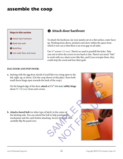# <span id="page-4-0"></span>**assemble the coop**



# $\theta$  Attach door hardware

To attach the hardware, lay your panels out on a flat surface, outer faces up. Working from above, position each door within the space from which it was cut so that there is an even gap on all sides.

Use  $\frac{1}{2}$ " screws (13 mm). There's no need to predrill the holes. Take care not to drive the screws in too hard or fast. There's not much "bite" to work with on a short screw like this, and if you overspin them, they could strip the wood and lose their grab.

### **EGG DOOR AND POP DOOR:**

**a.** Starting with the egg door, decide if you'd like it to swing open to the left, right, up, or down. (On the coop shown in this plan, I have both small doors hinge open towards the back of the coop.)

On the hinged edge of the door, **attach a 2 1/2" (64 mm) utility hinge** about  $\frac{3}{4}$ " (20 mm) from each corner.





**b. Attach a barrel bolt** (or other type of latch) in the center of the latching side. You can extend the bolt to help position the mechanism and the catch before attaching. Secure the latch, then carefully flip the panel over.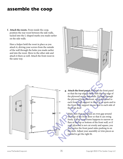# **assemble the coop**

**f. Attach the roosts.** From inside the coop, position the rear roost between the side walls, tucked into the L-shaped marks you made earlier on the side walls.

Have a helper hold the roost in place as you attach it, driving your screws from the outside of the wall through the holes you made earlier and into the roost. Move to the other side and attach it there as well. Attach the front roost in the same way.





**g. Attach the front panel.** Position the front panel so that the top edge is flush with the top edge of the plywood on the side walls. Driving through the plywood from the front, screw the panel to each front wall support in three or so spots and to the front floor support in one spot to each side of the front door.

Make sure that you retain an even gap around the edge of the front door so that it can swing freely. If your coop frame happens to narrow or flare at the top or bottom of the front wall, or if your plywood is not cut evenly and square, you may notice the front panel sides pushing in on the door. Adjust your assembly or trim pieces as needed to get the right fit. so that the top edge is flush with the top ed<br>the plywood on the side walls. Driving three the plywood from the front, screw the pane<br>each front wall support in three or so spots<br>the front floor support in one spot to each